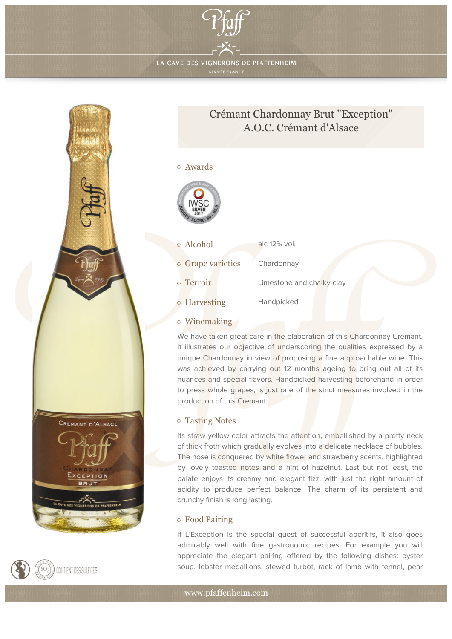

LA CAVE DES VIGNERONS DE PFAFFENHEIM





## Awards



| Alcohol                | alc 12% vol.              |
|------------------------|---------------------------|
| <b>Grape varieties</b> | Chardonnay                |
| Terroir                | Limestone and chalky-clay |

**Harvesting** Handpicked

## Winemaking

ĝ.

We have taken great care in the elaboration of this Chardonnay Cremant. It illustrates our objective of underscoring the qualities expressed by a unique Chardonnay in view of proposing a fine approachable wine. This was achieved by carrying out 12 months ageing to bring out all of its nuances and special flavors. Handpicked harvesting beforehand in order to press whole grapes, is just one of the strict measures involved in the production of this Cremant.

## Tasting Notes

Its straw yellow color attracts the attention, embellished by a pretty neck of thick froth which gradually evolves into a delicate necklace of bubbles. The nose is conquered by white flower and strawberry scents, highlighted by lovely toasted notes and a hint of hazelnut. Last but not least, the palate enjoys its creamy and elegant fizz, with just the right amount of acidity to produce perfect balance. The charm of its persistent and crunchy finish is long lasting.

## Food Pairing

If L'Exception is the special guest of successful aperitifs, it also goes admirably well with fine gastronomic recipes. For example you will appreciate the elegant pairing offered by the following dishes: oyster soup, lobster medallions, stewed turbot, rack of lamb with fennel, pear



www.pfaffenheim.com